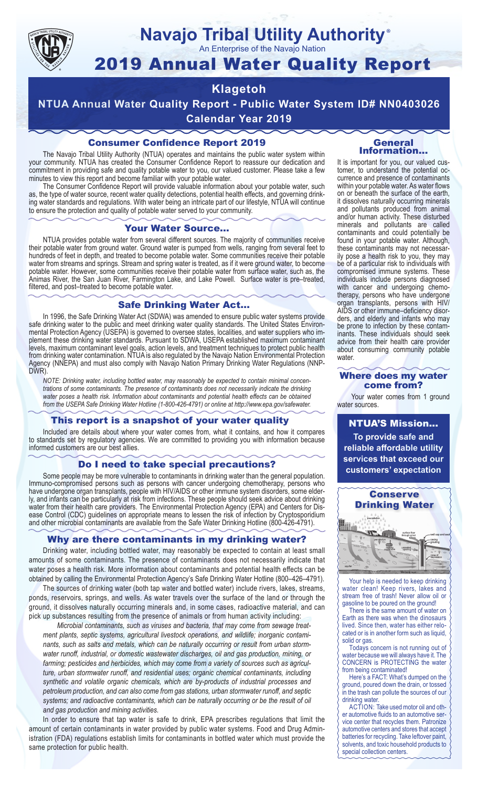

# **Navajo Tribal Utility Authority** ®

An Enterprise of the Navajo Nation

# 2019 Annual Water Quality Report

# **Klagetoh**

**NTUA Annual Water Quality Report - Public Water System ID# NN0403026 Calendar Year 2019**

# Consumer Confidence Report 2019

The Navajo Tribal Utility Authority (NTUA) operates and maintains the public water system within your community. NTUA has created the Consumer Confidence Report to reassure our dedication and commitment in providing safe and quality potable water to you, our valued customer. Please take a few minutes to view this report and become familiar with your potable water.

The Consumer Confidence Report will provide valuable information about your potable water, such as, the type of water source, recent water quality detections, potential health effects, and governing drinking water standards and regulations. With water being an intricate part of our lifestyle, NTUA will continue to ensure the protection and quality of potable water served to your community.

#### Your Water Source…

NTUA provides potable water from several different sources. The majority of communities receive their potable water from ground water. Ground water is pumped from wells, ranging from several feet to hundreds of feet in depth, and treated to become potable water. Some communities receive their potable water from streams and springs. Stream and spring water is treated, as if it were ground water, to become potable water. However, some communities receive their potable water from surface water, such as, the Animas River, the San Juan River, Farmington Lake, and Lake Powell. Surface water is pre–treated, filtered, and post–treated to become potable water.

#### Safe Drinking Water Act…

In 1996, the Safe Drinking Water Act (SDWA) was amended to ensure public water systems provide safe drinking water to the public and meet drinking water quality standards. The United States Environmental Protection Agency (USEPA) is governed to oversee states, localities, and water suppliers who implement these drinking water standards. Pursuant to SDWA, USEPA established maximum contaminant levels, maximum contaminant level goals, action levels, and treatment techniques to protect public health from drinking water contamination. NTUA is also regulated by the Navajo Nation Environmental Protection Agency (NNEPA) and must also comply with Navajo Nation Primary Drinking Water Regulations (NNP-DWR)

*NOTE: Drinking water, including bottled water, may reasonably be expected to contain minimal concentrations of some contaminants. The presence of contaminants does not necessarily indicate the drinking water poses a health risk. Information about contaminants and potential health effects can be obtained from the USEPA Safe Drinking Water Hotline (1-800-426-4791) or online at http://www.epa.gov/safewater.*

## This report is a snapshot of your water quality

Included are details about where your water comes from, what it contains, and how it compares to standards set by regulatory agencies. We are committed to providing you with information because informed customers are our best allies.

### Do I need to take special precautions?

Some people may be more vulnerable to contaminants in drinking water than the general population. Immuno-compromised persons such as persons with cancer undergoing chemotherapy, persons who have undergone organ transplants, people with HIV/AIDS or other immune system disorders, some elderly, and infants can be particularly at risk from infections. These people should seek advice about drinking water from their health care providers. The Environmental Protection Agency (EPA) and Centers for Disease Control (CDC) guidelines on appropriate means to lessen the risk of infection by Cryptosporidium and other microbial contaminants are available from the Safe Water Drinking Hotline (800-426-4791).

## Why are there contaminants in my drinking water?

Drinking water, including bottled water, may reasonably be expected to contain at least small amounts of some contaminants. The presence of contaminants does not necessarily indicate that water poses a health risk. More information about contaminants and potential health effects can be obtained by calling the Environmental Protection Agency's Safe Drinking Water Hotline (800–426–4791).

The sources of drinking water (both tap water and bottled water) include rivers, lakes, streams, ponds, reservoirs, springs, and wells. As water travels over the surface of the land or through the ground, it dissolves naturally occurring minerals and, in some cases, radioactive material, and can pick up substances resulting from the presence of animals or from human activity including:

*Microbial contaminants, such as viruses and bacteria, that may come from sewage treatment plants, septic systems, agricultural livestock operations, and wildlife; inorganic contaminants, such as salts and metals, which can be naturally occurring or result from urban stormwater runoff, industrial, or domestic wastewater discharges, oil and gas production, mining, or farming; pesticides and herbicides, which may come from a variety of sources such as agriculture, urban stormwater runoff, and residential uses; organic chemical contaminants, including synthetic and volatile organic chemicals, which are by-products of industrial processes and petroleum production, and can also come from gas stations, urban stormwater runoff, and septic systems; and radioactive contaminants, which can be naturally occurring or be the result of oil and gas production and mining activities.*

In order to ensure that tap water is safe to drink, EPA prescribes regulations that limit the amount of certain contaminants in water provided by public water systems. Food and Drug Administration (FDA) regulations establish limits for contaminants in bottled water which must provide the same protection for public health.

#### General Information…

It is important for you, our valued customer, to understand the potential occurrence and presence of contaminants within your potable water. As water flows on or beneath the surface of the earth, it dissolves naturally occurring minerals and pollutants produced from animal and/or human activity. These disturbed minerals and pollutants are called contaminants and could potentially be found in your potable water. Although, these contaminants may not necessarily pose a health risk to you, they may be of a particular risk to individuals with compromised immune systems. These individuals include persons diagnosed with cancer and undergoing chemo-<br>therapy, persons who have undergone organ transplants, persons with HIV/ AIDS or other immune–deficiency disor- ders, and elderly and infants who may be prone to infection by these contam- inants. These individuals should seek advice from their health care provider about consuming community potable water.

#### Where does my water come from?

Your water comes from 1 ground water sources.

NTUA'S Mission... **To provide safe and reliable affordable utility services that exceed our customers' expectation**



Your help is needed to keep drinking water clean! Keep rivers, lakes and stream free of trash! Never allow oil or gasoline to be poured on the ground!

There is the same amount of water on Earth as there was when the dinosaurs lived. Since then, water has either relocated or is in another form such as liquid, solid or gas.

Todays concern is not running out of water because we will always have it. The CONCERN is PROTECTING the water from being contaminated!

Here's a FACT: What's dumped on the ground, poured down the drain, or tossed in the trash can pollute the sources of our drinking water.

ACTION: Take used motor oil and other automotive fluids to an automotive service center that recycles them. Patronize automotive centers and stores that accept batteries for recycling. Take leftover paint, solvents, and toxic household products to special collection centers.